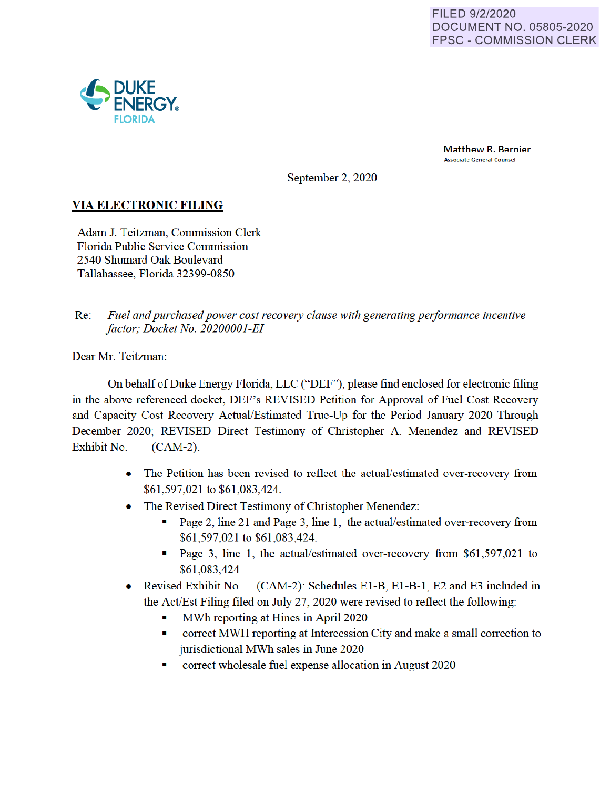

Matthew R. Bernier Associate General Counsel

September 2, 2020

## **VIA ELECTRONIC FILING**

Adam J. Teitzman, Commission Clerk Florida Public Service Commission 2540 Shumard Oak Boulevard Tallahassee, Florida 32399-0850

Re: Fuel and purchased power cost recovery clause with generating performance incentive *factor; Docket No. 20200001-EI* 

Dear Mr. Teitzman:

On behalf of Duke Energy Florida, LLC ("DEF"), please find enclosed for electronic filing in the above referenced docket, DEF's REVISED Petition for Approval of Fuel Cost Recovery and Capacity Cost Recovery Actual/Estimated True-Up for the Period January 2020 Through December 2020; REVISED Direct Testimony of Christopher A. Menendez and REVISED Exhibit No. (CAM-2).

- The Petition has been revised to reflect the actual/estimated over-recovery from \$61 ,597,021 to \$61 ,083,424.
- The Revised Direct Testimony of Christopher Menendez:
	- Page 2, line 21 and Page 3, line 1, the actual/estimated over-recovery from \$61 ,597,021 to \$61 ,083,424.
	- Page 3, line 1, the actual/estimated over-recovery from \$61,597,021 to \$61 ,083,424
- Revised Exhibit No. \_(CAM-2): Schedules El-B, El-B-1, E2 and E3 included in the Act/Est Filing filed on July 27, 2020 were revised to reflect the following:
	- MWh reporting at Hines in April 2020
	- correct MWH reporting at Intercession City and make a small correction to jurisdictional MWh sales in June 2020
	- conect wholesale fuel expense allocation in August 2020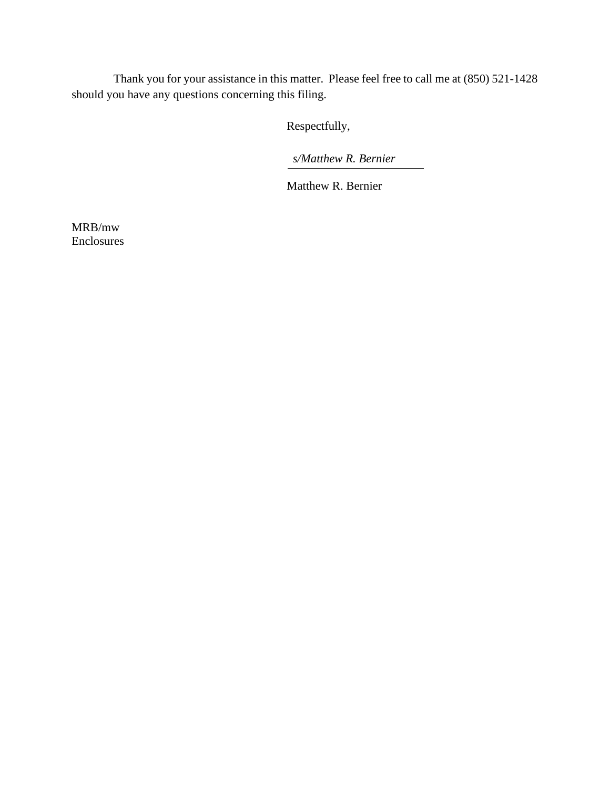Thank you for your assistance in this matter. Please feel free to call me at (850) 521-1428 should you have any questions concerning this filing.

Respectfully,

*s/Matthew R. Bernier* 

Matthew R. Bernier

MRB/mw Enclosures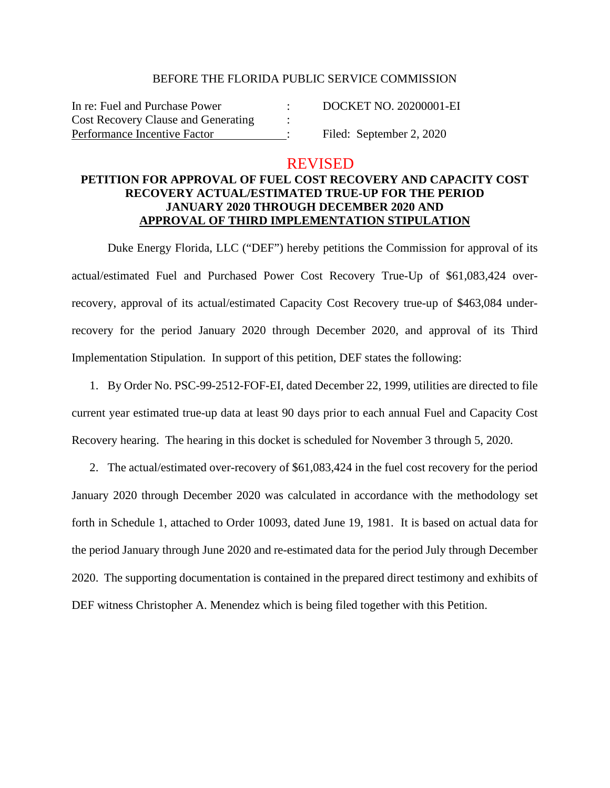#### BEFORE THE FLORIDA PUBLIC SERVICE COMMISSION

In re: Fuel and Purchase Power : DOCKET NO. 20200001-EI Cost Recovery Clause and Generating Performance Incentive Factor : Filed: September 2, 2020

### REVISED

### **PETITION FOR APPROVAL OF FUEL COST RECOVERY AND CAPACITY COST RECOVERY ACTUAL/ESTIMATED TRUE-UP FOR THE PERIOD JANUARY 2020 THROUGH DECEMBER 2020 AND APPROVAL OF THIRD IMPLEMENTATION STIPULATION**

Duke Energy Florida, LLC ("DEF") hereby petitions the Commission for approval of its actual/estimated Fuel and Purchased Power Cost Recovery True-Up of \$61,083,424 overrecovery, approval of its actual/estimated Capacity Cost Recovery true-up of \$463,084 underrecovery for the period January 2020 through December 2020, and approval of its Third Implementation Stipulation. In support of this petition, DEF states the following:

1. By Order No. PSC-99-2512-FOF-EI, dated December 22, 1999, utilities are directed to file current year estimated true-up data at least 90 days prior to each annual Fuel and Capacity Cost Recovery hearing. The hearing in this docket is scheduled for November 3 through 5, 2020.

2. The actual/estimated over-recovery of \$61,083,424 in the fuel cost recovery for the period January 2020 through December 2020 was calculated in accordance with the methodology set forth in Schedule 1, attached to Order 10093, dated June 19, 1981. It is based on actual data for the period January through June 2020 and re-estimated data for the period July through December 2020. The supporting documentation is contained in the prepared direct testimony and exhibits of DEF witness Christopher A. Menendez which is being filed together with this Petition.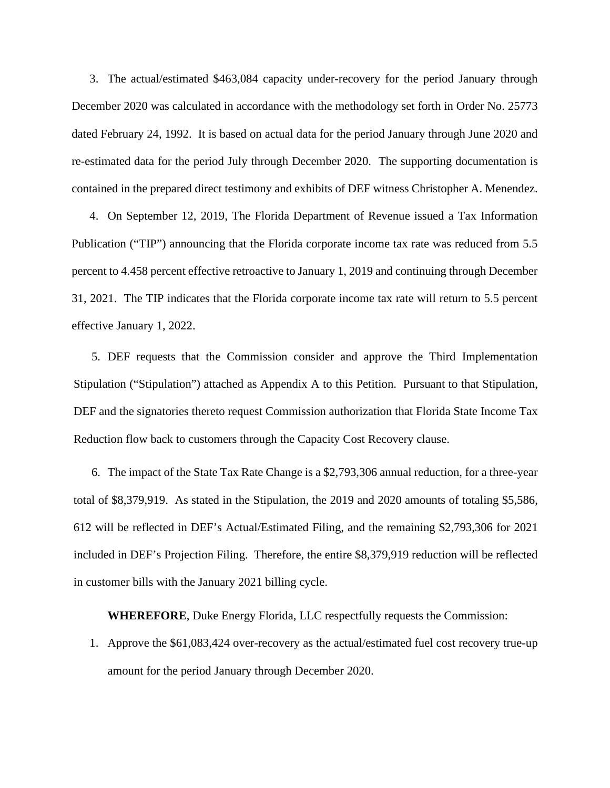3. The actual/estimated \$463,084 capacity under-recovery for the period January through December 2020 was calculated in accordance with the methodology set forth in Order No. 25773 dated February 24, 1992. It is based on actual data for the period January through June 2020 and re-estimated data for the period July through December 2020. The supporting documentation is contained in the prepared direct testimony and exhibits of DEF witness Christopher A. Menendez.

4. On September 12, 2019, The Florida Department of Revenue issued a Tax Information Publication ("TIP") announcing that the Florida corporate income tax rate was reduced from 5.5 percent to 4.458 percent effective retroactive to January 1, 2019 and continuing through December 31, 2021. The TIP indicates that the Florida corporate income tax rate will return to 5.5 percent effective January 1, 2022.

5. DEF requests that the Commission consider and approve the Third Implementation Stipulation ("Stipulation") attached as Appendix A to this Petition. Pursuant to that Stipulation, DEF and the signatories thereto request Commission authorization that Florida State Income Tax Reduction flow back to customers through the Capacity Cost Recovery clause.

6. The impact of the State Tax Rate Change is a \$2,793,306 annual reduction, for a three-year total of \$8,379,919. As stated in the Stipulation, the 2019 and 2020 amounts of totaling \$5,586, 612 will be reflected in DEF's Actual/Estimated Filing, and the remaining \$2,793,306 for 2021 included in DEF's Projection Filing. Therefore, the entire \$8,379,919 reduction will be reflected in customer bills with the January 2021 billing cycle.

**WHEREFORE**, Duke Energy Florida, LLC respectfully requests the Commission:

1. Approve the \$61,083,424 over-recovery as the actual/estimated fuel cost recovery true-up amount for the period January through December 2020.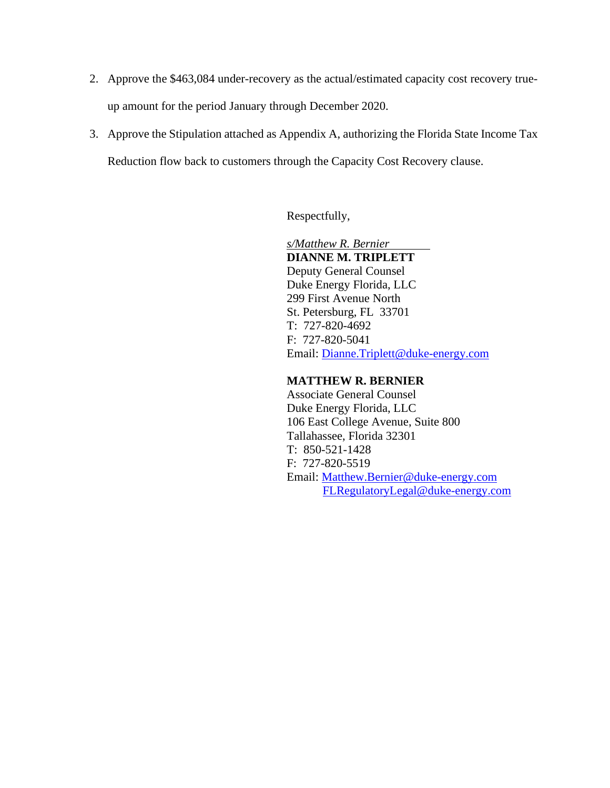- 2. Approve the \$463,084 under-recovery as the actual/estimated capacity cost recovery trueup amount for the period January through December 2020.
- 3. Approve the Stipulation attached as Appendix A, authorizing the Florida State Income Tax Reduction flow back to customers through the Capacity Cost Recovery clause.

Respectfully,

 *s/Matthew R. Bernier*  **DIANNE M. TRIPLETT** Deputy General Counsel Duke Energy Florida, LLC 299 First Avenue North St. Petersburg, FL 33701 T: 727-820-4692 F: 727-820-5041 Email: Dianne.Triplett@duke-energy.com

#### **MATTHEW R. BERNIER**

 Associate General Counsel Duke Energy Florida, LLC 106 East College Avenue, Suite 800 Tallahassee, Florida 32301 T: 850-521-1428 F: 727-820-5519 Email: Matthew.Bernier@duke-energy.com FLRegulatoryLegal@duke-energy.com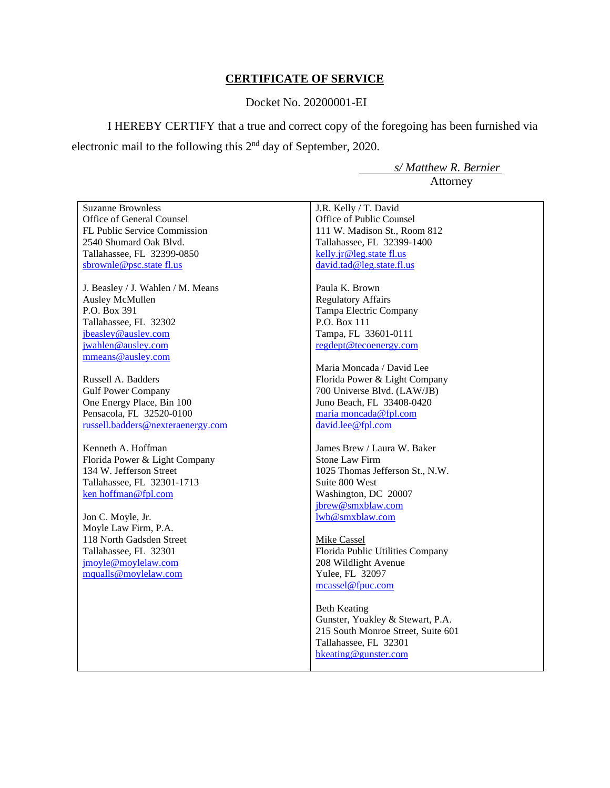## **CERTIFICATE OF SERVICE**

### Docket No. 20200001-EI

I HEREBY CERTIFY that a true and correct copy of the foregoing has been furnished via electronic mail to the following this 2nd day of September, 2020.

> *s/ Matthew R. Bernier*  Attorney

| <b>Suzanne Brownless</b>          | J.R. Kelly / T. David              |
|-----------------------------------|------------------------------------|
| Office of General Counsel         | Office of Public Counsel           |
| FL Public Service Commission      | 111 W. Madison St., Room 812       |
| 2540 Shumard Oak Blvd.            | Tallahassee, FL 32399-1400         |
| Tallahassee, FL 32399-0850        | kelly.jr@leg.state fl.us           |
| sbrownle@psc.state fl.us          | david.tad@leg.state.fl.us          |
|                                   |                                    |
| J. Beasley / J. Wahlen / M. Means | Paula K. Brown                     |
| Ausley McMullen                   | <b>Regulatory Affairs</b>          |
| P.O. Box 391                      | Tampa Electric Company             |
| Tallahassee, FL 32302             | P.O. Box 111                       |
| jbeasley@ausley.com               | Tampa, FL 33601-0111               |
| jwahlen@ausley.com                | regdept@tecoenergy.com             |
| mmeans@ausley.com                 |                                    |
|                                   | Maria Moncada / David Lee          |
| Russell A. Badders                | Florida Power & Light Company      |
| <b>Gulf Power Company</b>         | 700 Universe Blvd. (LAW/JB)        |
| One Energy Place, Bin 100         | Juno Beach, FL 33408-0420          |
| Pensacola, FL 32520-0100          | maria moncada@fpl.com              |
| russell.badders@nexteraenergy.com | david.lee@fpl.com                  |
|                                   |                                    |
| Kenneth A. Hoffman                | James Brew / Laura W. Baker        |
| Florida Power & Light Company     | <b>Stone Law Firm</b>              |
| 134 W. Jefferson Street           | 1025 Thomas Jefferson St., N.W.    |
| Tallahassee, FL 32301-1713        | Suite 800 West                     |
| ken hoffman@fpl.com               | Washington, DC 20007               |
|                                   | jbrew@smxblaw.com                  |
| Jon C. Moyle, Jr.                 | lwb@smxblaw.com                    |
| Moyle Law Firm, P.A.              |                                    |
| 118 North Gadsden Street          | <b>Mike Cassel</b>                 |
| Tallahassee, FL 32301             | Florida Public Utilities Company   |
| jmoyle@moylelaw.com               | 208 Wildlight Avenue               |
| mqualls@moylelaw.com              | Yulee, FL 32097                    |
|                                   | mcassel@fpuc.com                   |
|                                   |                                    |
|                                   | <b>Beth Keating</b>                |
|                                   | Gunster, Yoakley & Stewart, P.A.   |
|                                   | 215 South Monroe Street, Suite 601 |
|                                   | Tallahassee, FL 32301              |
|                                   | bkeating@gunster.com               |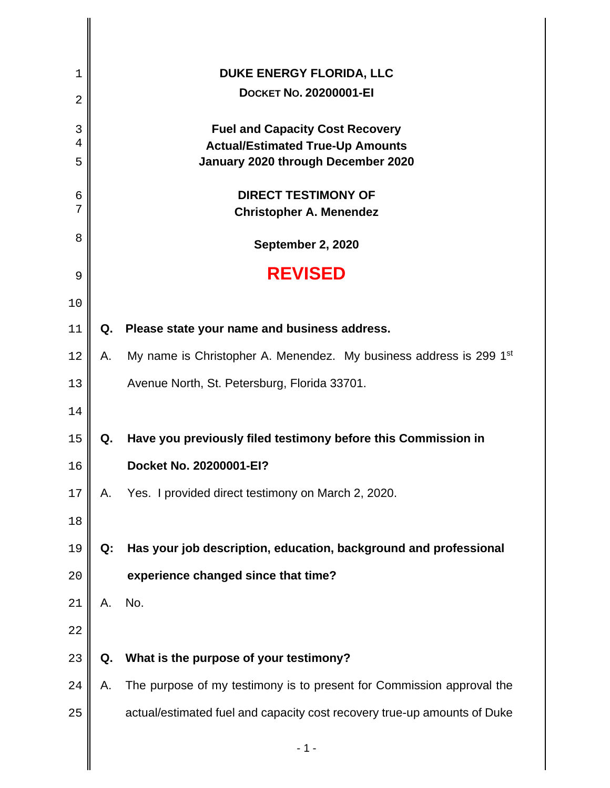| 1              |    | DUKE ENERGY FLORIDA, LLC                                                          |
|----------------|----|-----------------------------------------------------------------------------------|
| $\overline{2}$ |    | <b>DOCKET NO. 20200001-EI</b>                                                     |
| 3<br>4         |    | <b>Fuel and Capacity Cost Recovery</b><br><b>Actual/Estimated True-Up Amounts</b> |
| 5              |    | January 2020 through December 2020                                                |
| 6<br>7         |    | <b>DIRECT TESTIMONY OF</b><br><b>Christopher A. Menendez</b>                      |
| 8              |    | September 2, 2020                                                                 |
| 9              |    | <b>REVISED</b>                                                                    |
| 10             |    |                                                                                   |
| 11             | Q. | Please state your name and business address.                                      |
| 12             | А. | My name is Christopher A. Menendez. My business address is 299 1 <sup>st</sup>    |
| 13             |    | Avenue North, St. Petersburg, Florida 33701.                                      |
| 14             |    |                                                                                   |
| 15             | Q. | Have you previously filed testimony before this Commission in                     |
| 16             |    | Docket No. 20200001-EI?                                                           |
| 17             | Α. | Yes. I provided direct testimony on March 2, 2020.                                |
| 18             |    |                                                                                   |
| 19             | Q: | Has your job description, education, background and professional                  |
| 20             |    | experience changed since that time?                                               |
| 21             | Α. | No.                                                                               |
| 22             |    |                                                                                   |
| 23             | Q. | What is the purpose of your testimony?                                            |
| 24             | А. | The purpose of my testimony is to present for Commission approval the             |
| 25             |    | actual/estimated fuel and capacity cost recovery true-up amounts of Duke          |
|                |    | $-1-$                                                                             |
|                |    |                                                                                   |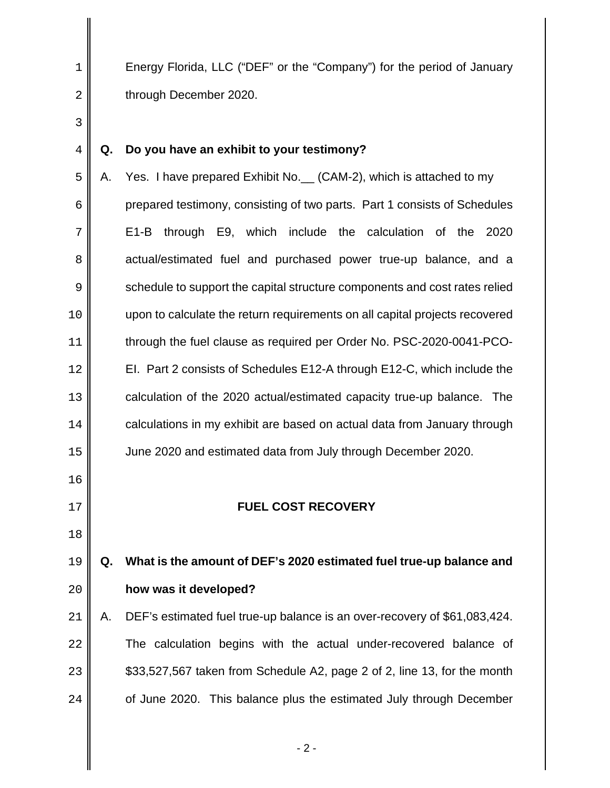1 Energy Florida, LLC ("DEF" or the "Company") for the period of January **b** through December 2020.

### **Q. Do you have an exhibit to your testimony?**

5 A. Yes. I have prepared Exhibit No. (CAM-2), which is attached to my prepared testimony, consisting of two parts. Part 1 consists of Schedules E1-B through E9, which include the calculation of the 2020 8 actual/estimated fuel and purchased power true-up balance, and a 9 schedule to support the capital structure components and cost rates relied upon to calculate the return requirements on all capital projects recovered through the fuel clause as required per Order No. PSC-2020-0041-PCO-**EI.** Part 2 consists of Schedules E12-A through E12-C, which include the **calculation of the 2020 actual/estimated capacity true-up balance.** The **calculations in my exhibit are based on actual data from January through** June 2020 and estimated data from July through December 2020.

### **FUEL COST RECOVERY**

# **Q. What is the amount of DEF's 2020 estimated fuel true-up balance and how was it developed?**

A. DEF's estimated fuel true-up balance is an over-recovery of \$61,083,424. **The calculation begins with the actual under-recovered balance of**  $\parallel$  \$33,527,567 taken from Schedule A2, page 2 of 2, line 13, for the month  $\parallel$  of June 2020. This balance plus the estimated July through December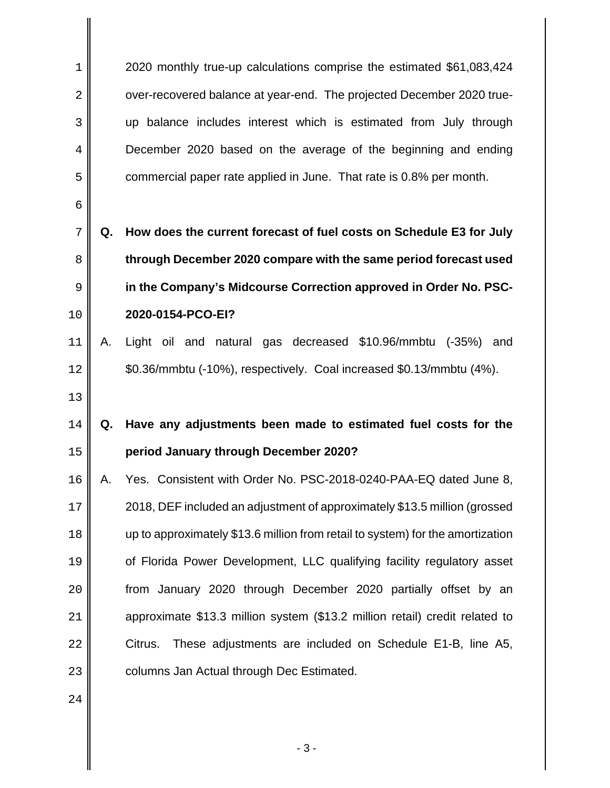2020 monthly true-up calculations comprise the estimated \$61,083,424 2 | over-recovered balance at year-end. The projected December 2020 true-up balance includes interest which is estimated from July through December 2020 based on the average of the beginning and ending **commercial paper rate applied in June. That rate is 0.8% per month.** 

**Q. How does the current forecast of fuel costs on Schedule E3 for July through December 2020 compare with the same period forecast used in the Company's Midcourse Correction approved in Order No. PSC-2020-0154-PCO-EI?**

A. Light oil and natural gas decreased \$10.96/mmbtu (-35%) and 12 |  $\bullet$  \$0.36/mmbtu (-10%), respectively. Coal increased \$0.13/mmbtu (4%).

## 

## **Q. Have any adjustments been made to estimated fuel costs for the period January through December 2020?**

16 || A. Yes. Consistent with Order No. PSC-2018-0240-PAA-EQ dated June 8, 2018, DEF included an adjustment of approximately \$13.5 million (grossed  $\parallel$  up to approximately \$13.6 million from retail to system) for the amortization **II** of Florida Power Development, LLC qualifying facility regulatory asset **from January 2020 through December 2020 partially offset by an approximate \$13.3 million system (\$13.2 million retail) credit related to**  $22 \parallel$  Citrus. These adjustments are included on Schedule E1-B, line A5, **columns Jan Actual through Dec Estimated.**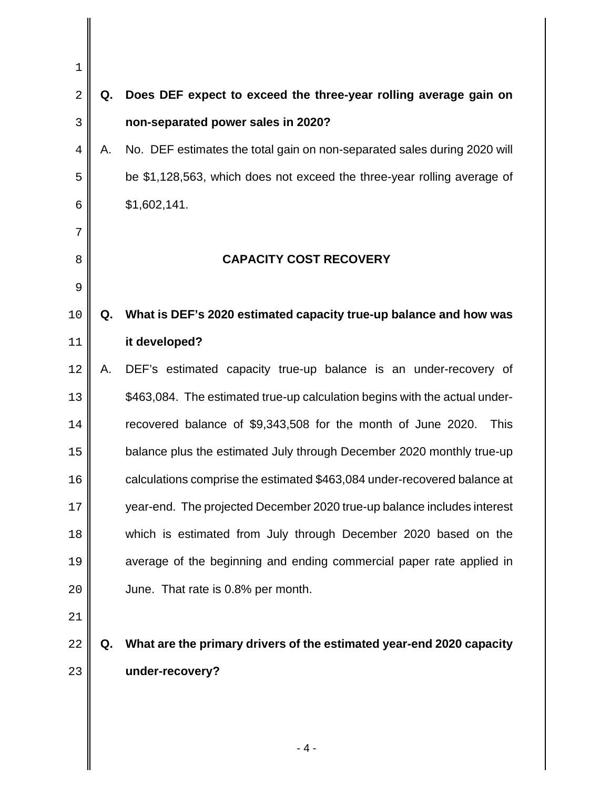| 1              |    |                                                                             |
|----------------|----|-----------------------------------------------------------------------------|
| $\sqrt{2}$     | Q. | Does DEF expect to exceed the three-year rolling average gain on            |
| 3              |    | non-separated power sales in 2020?                                          |
| $\overline{4}$ | А. | No. DEF estimates the total gain on non-separated sales during 2020 will    |
| 5              |    | be \$1,128,563, which does not exceed the three-year rolling average of     |
| 6              |    | \$1,602,141.                                                                |
| 7              |    |                                                                             |
| 8              |    | <b>CAPACITY COST RECOVERY</b>                                               |
| 9              |    |                                                                             |
| 10             | Q. | What is DEF's 2020 estimated capacity true-up balance and how was           |
| 11             |    | it developed?                                                               |
| 12             | А. | DEF's estimated capacity true-up balance is an under-recovery of            |
| 13             |    | \$463,084. The estimated true-up calculation begins with the actual under-  |
| 14             |    | recovered balance of \$9,343,508 for the month of June 2020.<br><b>This</b> |
| 15             |    | balance plus the estimated July through December 2020 monthly true-up       |
| 16             |    | calculations comprise the estimated \$463,084 under-recovered balance at    |
| 17             |    | year-end. The projected December 2020 true-up balance includes interest     |
| 18             |    | which is estimated from July through December 2020 based on the             |
| 19             |    | average of the beginning and ending commercial paper rate applied in        |
| 20             |    | June. That rate is 0.8% per month.                                          |
| 21             |    |                                                                             |
| 22             | Q. | What are the primary drivers of the estimated year-end 2020 capacity        |
| 23             |    | under-recovery?                                                             |
|                |    |                                                                             |
|                |    |                                                                             |
|                |    |                                                                             |

 $\mathsf{I}$ 

- 4 -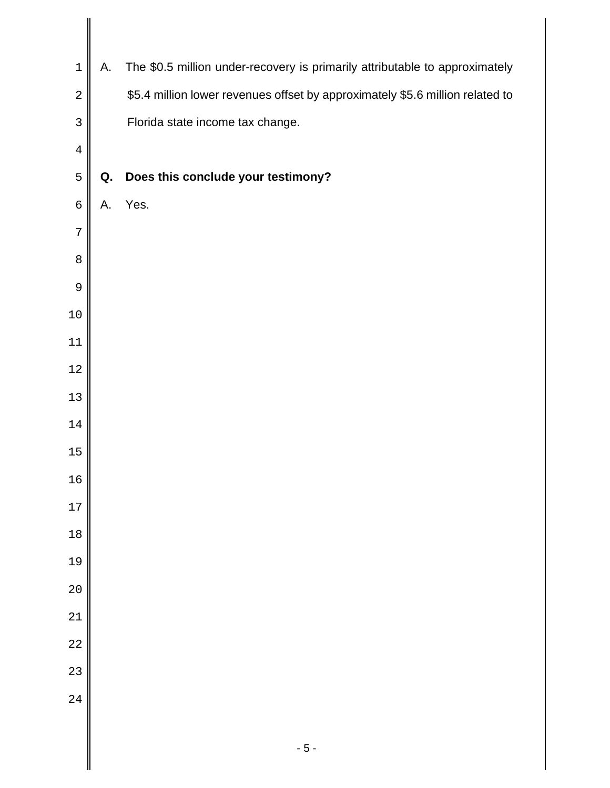| $\mathbf 1$    | А. | The \$0.5 million under-recovery is primarily attributable to approximately   |
|----------------|----|-------------------------------------------------------------------------------|
| $\overline{a}$ |    | \$5.4 million lower revenues offset by approximately \$5.6 million related to |
| 3              |    | Florida state income tax change.                                              |
| $\overline{4}$ |    |                                                                               |
| 5              | Q. | Does this conclude your testimony?                                            |
| $\epsilon$     | Α. | Yes.                                                                          |
| 7              |    |                                                                               |
| $\,8\,$        |    |                                                                               |
| 9              |    |                                                                               |
| $10\,$         |    |                                                                               |
| $11\,$         |    |                                                                               |
| $12\,$         |    |                                                                               |
| $13$           |    |                                                                               |
| $14\,$         |    |                                                                               |
| 15             |    |                                                                               |
| 16             |    |                                                                               |
| 17             |    |                                                                               |
| $18$           |    |                                                                               |
| 19             |    |                                                                               |
| 20             |    |                                                                               |
| 21             |    |                                                                               |
| 22             |    |                                                                               |
| 23             |    |                                                                               |
| 24             |    |                                                                               |
|                |    | $-5-$                                                                         |

II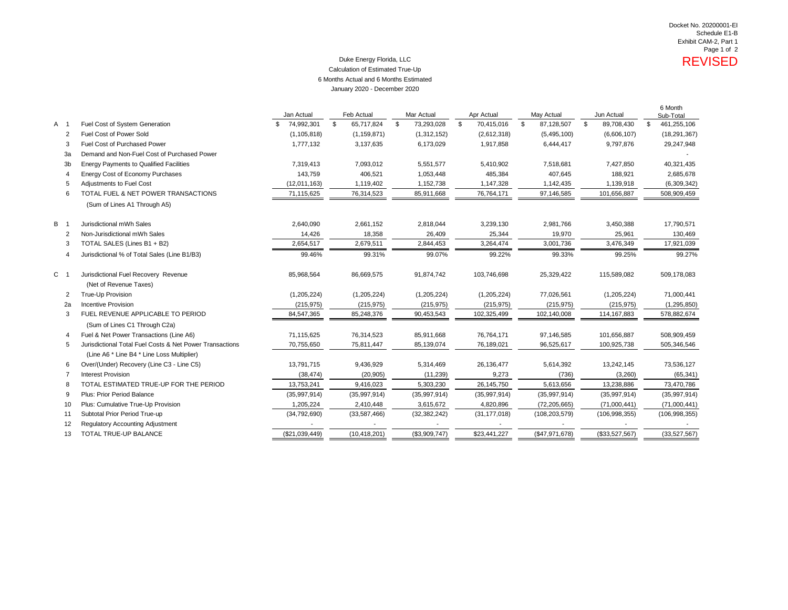### Duke Energy Florida, LLC **Network Contract Contract Contract Contract Contract Contract Contract Contract Contract Contract Contract Contract Contract Contract Contract Contract Contract Contract Contract Contract Contract** Calculation of Estimated True-Up 6 Months Actual and 6 Months Estimated January 2020 - December 2020

|                               |                                                                                                        | Jan Actual        | Feb Actual       | Mar Actual       | Apr Actual       | May Actual       | Jun Actual       | 6 Month<br>Sub-Total |
|-------------------------------|--------------------------------------------------------------------------------------------------------|-------------------|------------------|------------------|------------------|------------------|------------------|----------------------|
| A 1                           | Fuel Cost of System Generation                                                                         | 74,992,301<br>\$. | \$<br>65,717,824 | \$<br>73,293,028 | \$<br>70,415,016 | \$<br>87,128,507 | \$<br>89,708,430 | 461,255,106<br>-\$   |
| 2                             | Fuel Cost of Power Sold                                                                                | (1, 105, 818)     | (1, 159, 871)    | (1,312,152)      | (2,612,318)      | (5,495,100)      | (6,606,107)      | (18, 291, 367)       |
| 3                             | <b>Fuel Cost of Purchased Power</b>                                                                    | 1,777,132         | 3,137,635        | 6,173,029        | 1,917,858        | 6,444,417        | 9,797,876        | 29,247,948           |
| 3a                            | Demand and Non-Fuel Cost of Purchased Power                                                            |                   |                  |                  |                  |                  |                  |                      |
| 3b                            | <b>Energy Payments to Qualified Facilities</b>                                                         | 7,319,413         | 7,093,012        | 5,551,577        | 5,410,902        | 7,518,681        | 7,427,850        | 40,321,435           |
| 4                             | Energy Cost of Economy Purchases                                                                       | 143,759           | 406,521          | 1,053,448        | 485,384          | 407,645          | 188,921          | 2,685,678            |
| 5                             | Adjustments to Fuel Cost                                                                               | (12,011,163)      | 1,119,402        | 1,152,738        | 1,147,328        | 1,142,435        | 1,139,918        | (6,309,342)          |
| 6                             | TOTAL FUEL & NET POWER TRANSACTIONS                                                                    | 71,115,625        | 76,314,523       | 85,911,668       | 76,764,171       | 97,146,585       | 101,656,887      | 508,909,459          |
|                               | (Sum of Lines A1 Through A5)                                                                           |                   |                  |                  |                  |                  |                  |                      |
| B 1                           | Jurisdictional mWh Sales                                                                               | 2,640,090         | 2,661,152        | 2,818,044        | 3,239,130        | 2,981,766        | 3,450,388        | 17,790,571           |
| 2                             | Non-Jurisdictional mWh Sales                                                                           | 14,426            | 18,358           | 26,409           | 25,344           | 19,970           | 25,961           | 130,469              |
| 3                             | TOTAL SALES (Lines B1 + B2)                                                                            | 2,654,517         | 2,679,511        | 2,844,453        | 3,264,474        | 3,001,736        | 3,476,349        | 17,921,039           |
| 4                             | Jurisdictional % of Total Sales (Line B1/B3)                                                           | 99.46%            | 99.31%           | 99.07%           | 99.22%           | 99.33%           | 99.25%           | 99.27%               |
| C<br>$\overline{\phantom{0}}$ | Jurisdictional Fuel Recovery Revenue<br>(Net of Revenue Taxes)                                         | 85,968,564        | 86,669,575       | 91,874,742       | 103,746,698      | 25,329,422       | 115,589,082      | 509,178,083          |
| 2                             | True-Up Provision                                                                                      | (1,205,224)       | (1,205,224)      | (1,205,224)      | (1,205,224)      | 77,026,561       | (1,205,224)      | 71,000,441           |
| 2a                            | <b>Incentive Provision</b>                                                                             | (215, 975)        | (215, 975)       | (215, 975)       | (215, 975)       | (215, 975)       | (215, 975)       | (1, 295, 850)        |
| 3                             | FUEL REVENUE APPLICABLE TO PERIOD                                                                      | 84,547,365        | 85,248,376       | 90,453,543       | 102,325,499      | 102,140,008      | 114, 167, 883    | 578,882,674          |
|                               | (Sum of Lines C1 Through C2a)                                                                          |                   |                  |                  |                  |                  |                  |                      |
| 4                             | Fuel & Net Power Transactions (Line A6)                                                                | 71,115,625        | 76,314,523       | 85,911,668       | 76,764,171       | 97,146,585       | 101,656,887      | 508,909,459          |
| 5                             | Jurisdictional Total Fuel Costs & Net Power Transactions<br>(Line A6 * Line B4 * Line Loss Multiplier) | 70,755,650        | 75,811,447       | 85,139,074       | 76,189,021       | 96,525,617       | 100,925,738      | 505,346,546          |
| 6                             | Over/(Under) Recovery (Line C3 - Line C5)                                                              | 13,791,715        | 9,436,929        | 5,314,469        | 26, 136, 477     | 5,614,392        | 13,242,145       | 73,536,127           |
| 7                             | <b>Interest Provision</b>                                                                              | (38, 474)         | (20, 905)        | (11, 239)        | 9,273            | (736)            | (3,260)          | (65, 341)            |
| 8                             | TOTAL ESTIMATED TRUE-UP FOR THE PERIOD                                                                 | 13,753,241        | 9,416,023        | 5,303,230        | 26,145,750       | 5,613,656        | 13,238,886       | 73,470,786           |
| 9                             | Plus: Prior Period Balance                                                                             | (35,997,914)      | (35,997,914)     | (35,997,914)     | (35,997,914)     | (35,997,914)     | (35,997,914)     | (35,997,914)         |
| 10                            | Plus: Cumulative True-Up Provision                                                                     | 1,205,224         | 2,410,448        | 3,615,672        | 4,820,896        | (72, 205, 665)   | (71,000,441)     | (71,000,441)         |
| 11                            | Subtotal Prior Period True-up                                                                          | (34, 792, 690)    | (33, 587, 466)   | (32, 382, 242)   | (31, 177, 018)   | (108, 203, 579)  | (106, 998, 355)  | (106, 998, 355)      |
| 12                            | <b>Regulatory Accounting Adjustment</b>                                                                |                   |                  |                  |                  |                  |                  |                      |
| 13                            | TOTAL TRUE-UP BALANCE                                                                                  | (\$21,039,449)    | (10, 418, 201)   | (\$3,909,747)    | \$23,441,227     | (\$47,971,678)   | (\$33,527,567)   | (33,527,567)         |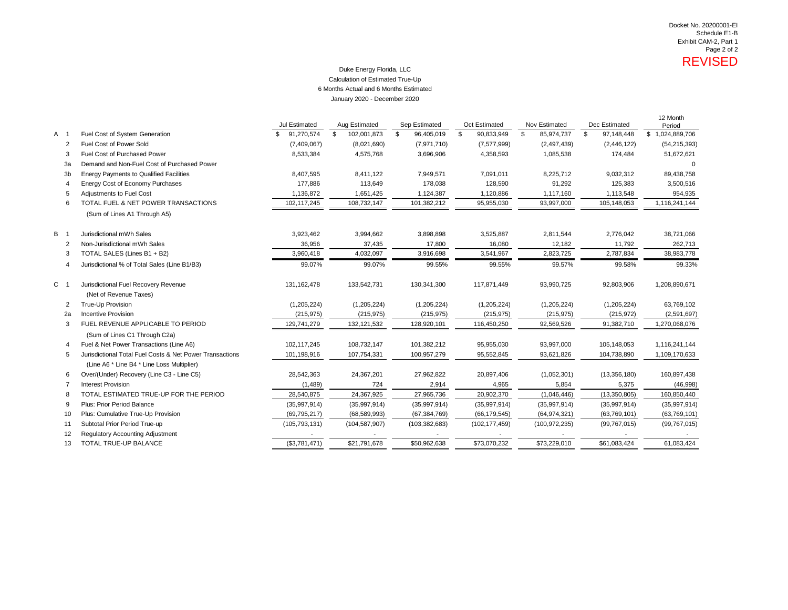### Duke Energy Florida, LLC January 2020 - December 2020 Calculation of Estimated True-Up 6 Months Actual and 6 Months Estimated

|                |                |                                                                | Jul Estimated   | Aug Estimated     | Sep Estimated    | Oct Estimated    | Nov Estimated    | Dec Estimated |                | 12 Month<br>Period |
|----------------|----------------|----------------------------------------------------------------|-----------------|-------------------|------------------|------------------|------------------|---------------|----------------|--------------------|
| A 1            |                | Fuel Cost of System Generation                                 | 91,270,574      | \$<br>102,001,873 | \$<br>96,405,019 | \$<br>90,833,949 | \$<br>85,974,737 | \$            | 97,148,448     | \$1,024,889,706    |
|                | $\overline{2}$ | Fuel Cost of Power Sold                                        | (7,409,067)     | (8,021,690)       | (7,971,710)      | (7, 577, 999)    | (2,497,439)      |               | (2,446,122)    | (54, 215, 393)     |
|                | 3              | Fuel Cost of Purchased Power                                   | 8,533,384       | 4,575,768         | 3,696,906        | 4,358,593        | 1,085,538        |               | 174,484        | 51,672,621         |
|                | 3a             | Demand and Non-Fuel Cost of Purchased Power                    |                 |                   |                  |                  |                  |               |                |                    |
|                | 3 <sub>b</sub> | <b>Energy Payments to Qualified Facilities</b>                 | 8,407,595       | 8,411,122         | 7,949,571        | 7,091,011        | 8,225,712        |               | 9,032,312      | 89,438,758         |
|                | 4              | Energy Cost of Economy Purchases                               | 177,886         | 113,649           | 178,038          | 128,590          | 91,292           |               | 125,383        | 3,500,516          |
|                | 5              | <b>Adjustments to Fuel Cost</b>                                | 1,136,872       | 1,651,425         | 1,124,387        | 1,120,886        | 1,117,160        |               | 1,113,548      | 954,935            |
|                | 6              | TOTAL FUEL & NET POWER TRANSACTIONS                            | 102,117,245     | 108,732,147       | 101,382,212      | 95,955,030       | 93,997,000       |               | 105,148,053    | 1,116,241,144      |
|                |                | (Sum of Lines A1 Through A5)                                   |                 |                   |                  |                  |                  |               |                |                    |
| <b>B</b> 1     |                | Jurisdictional mWh Sales                                       | 3,923,462       | 3,994,662         | 3,898,898        | 3,525,887        | 2,811,544        |               | 2,776,042      | 38,721,066         |
|                | 2              | Non-Jurisdictional mWh Sales                                   | 36,956          | 37,435            | 17,800           | 16,080           | 12,182           |               | 11,792         | 262,713            |
|                | 3              | TOTAL SALES (Lines B1 + B2)                                    | 3,960,418       | 4,032,097         | 3,916,698        | 3,541,967        | 2,823,725        |               | 2,787,834      | 38,983,778         |
|                | $\overline{4}$ | Jurisdictional % of Total Sales (Line B1/B3)                   | 99.07%          | 99.07%            | 99.55%           | 99.55%           | 99.57%           |               | 99.58%         | 99.33%             |
| C <sub>1</sub> |                | Jurisdictional Fuel Recovery Revenue<br>(Net of Revenue Taxes) | 131,162,478     | 133,542,731       | 130,341,300      | 117,871,449      | 93,990,725       |               | 92,803,906     | 1,208,890,671      |
|                | 2              | True-Up Provision                                              | (1,205,224)     | (1,205,224)       | (1,205,224)      | (1,205,224)      | (1,205,224)      |               | (1,205,224)    | 63,769,102         |
|                | 2a             | Incentive Provision                                            | (215, 975)      | (215, 975)        | (215, 975)       | (215, 975)       | (215, 975)       |               | (215, 972)     | (2,591,697)        |
|                | 3              | FUEL REVENUE APPLICABLE TO PERIOD                              | 129,741,279     | 132,121,532       | 128,920,101      | 116,450,250      | 92,569,526       |               | 91,382,710     | 1,270,068,076      |
|                |                | (Sum of Lines C1 Through C2a)                                  |                 |                   |                  |                  |                  |               |                |                    |
|                | 4              | Fuel & Net Power Transactions (Line A6)                        | 102,117,245     | 108,732,147       | 101,382,212      | 95,955,030       | 93,997,000       |               | 105,148,053    | 1,116,241,144      |
|                | 5              | Jurisdictional Total Fuel Costs & Net Power Transactions       | 101,198,916     | 107,754,331       | 100,957,279      | 95,552,845       | 93,621,826       |               | 104,738,890    | 1,109,170,633      |
|                |                | (Line A6 * Line B4 * Line Loss Multiplier)                     |                 |                   |                  |                  |                  |               |                |                    |
|                | 6              | Over/(Under) Recovery (Line C3 - Line C5)                      | 28,542,363      | 24,367,201        | 27,962,822       | 20,897,406       | (1,052,301)      |               | (13,356,180)   | 160,897,438        |
|                | 7              | <b>Interest Provision</b>                                      | (1,489)         | 724               | 2,914            | 4,965            | 5,854            |               | 5,375          | (46,998)           |
|                | 8              | TOTAL ESTIMATED TRUE-UP FOR THE PERIOD                         | 28,540,875      | 24,367,925        | 27,965,736       | 20,902,370       | (1,046,446)      |               | (13,350,805)   | 160,850,440        |
|                | 9              | Plus: Prior Period Balance                                     | (35,997,914)    | (35,997,914)      | (35,997,914)     | (35,997,914)     | (35,997,914)     |               | (35,997,914)   | (35,997,914)       |
|                | 10             | Plus: Cumulative True-Up Provision                             | (69, 795, 217)  | (68, 589, 993)    | (67, 384, 769)   | (66, 179, 545)   | (64, 974, 321)   |               | (63,769,101)   | (63,769,101)       |
|                | 11             | Subtotal Prior Period True-up                                  | (105, 793, 131) | (104, 587, 907)   | (103, 382, 683)  | (102, 177, 459)  | (100, 972, 235)  |               | (99, 767, 015) | (99, 767, 015)     |
|                | 12             | <b>Regulatory Accounting Adjustment</b>                        |                 |                   |                  |                  |                  |               |                |                    |
|                | 13             | TOTAL TRUE-UP BALANCE                                          | (\$3,781,471)   | \$21,791,678      | \$50,962,638     | \$73,070,232     | \$73,229,010     |               | \$61,083,424   | 61,083,424         |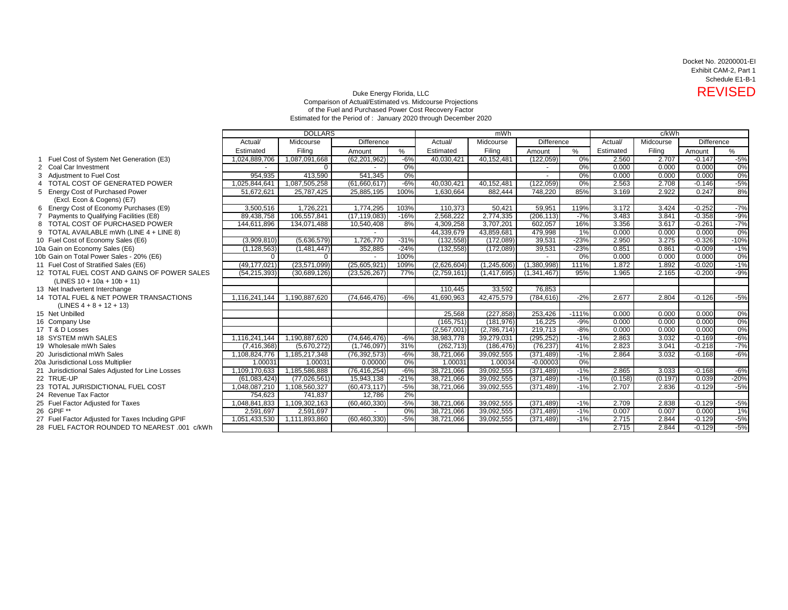Docket No. 20200001-EI Exhibit CAM-2, Part 1 Schedule E1-B-1

## Duke Energy Florida, LLC<br>Comparison of Actual/Estimated vs. Midcourse Projections<br>Comparison of Actual/Estimated vs. Midcourse Projections of the Fuel and Purchased Power Cost Recovery Factor Estimated for the Period of : January 2020 through December 2020

|                                                  |                | <b>DOLLARS</b><br>mWh |                |        |             | c/kWh         |                   |         |           |           |            |        |
|--------------------------------------------------|----------------|-----------------------|----------------|--------|-------------|---------------|-------------------|---------|-----------|-----------|------------|--------|
|                                                  | Actual/        | Midcourse             | Difference     |        | Actual/     | Midcourse     | <b>Difference</b> |         | Actual/   | Midcourse | Difference |        |
|                                                  | Estimated      | Filina                | Amount         | %      | Estimated   | Filina        | Amount            | %       | Estimated | Filing    | Amount     | $\%$   |
| Fuel Cost of System Net Generation (E3)          | 1,024,889,706  | 1,087,091,668         | (62, 201, 962) | $-6%$  | 40,030,421  | 40,152,481    | (122,059)         | 0%      | 2.560     | 2.707     | $-0.147$   | $-5%$  |
| 2 Coal Car Investment                            |                | $\Omega$              |                | 0%     |             |               |                   | 0%      | 0.000     | 0.000     | 0.000      | 0%     |
| 3 Adiustment to Fuel Cost                        | 954,935        | 413,590               | 541,345        | 0%     |             |               |                   | 0%      | 0.000     | 0.000     | 0.000      | 0%     |
| TOTAL COST OF GENERATED POWER                    | 1,025,844,641  | 1,087,505,258         | (61,660,617)   | $-6%$  | 40,030,421  | 40,152,481    | (122, 059)        | 0%      | 2.563     | 2.708     | $-0.146$   | $-5%$  |
| 5 Energy Cost of Purchased Power                 | 51,672,621     | 25,787,425            | 25,885,195     | 100%   | 1,630,664   | 882,444       | 748,220           | 85%     | 3.169     | 2.922     | 0.247      | 8%     |
| (Excl. Econ & Cogens) (E7)                       |                |                       |                |        |             |               |                   |         |           |           |            |        |
| 6 Energy Cost of Economy Purchases (E9)          | 3,500,516      | 1,726,221             | 1,774,295      | 103%   | 110,373     | 50,421        | 59,951            | 119%    | 3.172     | 3.424     | $-0.252$   | $-7%$  |
| Payments to Qualifying Facilities (E8)           | 89,438,758     | 106,557,841           | (17, 119, 083) | $-16%$ | 2,568,222   | 2,774,335     | (206, 113)        | $-7%$   | 3.483     | 3.841     | $-0.358$   | $-9%$  |
| 8 TOTAL COST OF PURCHASED POWER                  | 144,611,896    | 134,071,488           | 10,540,408     | 8%     | 4,309,258   | 3,707,201     | 602,057           | 16%     | 3.356     | 3.617     | $-0.261$   | $-7%$  |
| 9 TOTAL AVAILABLE mWh (LINE 4 + LINE 8)          |                |                       |                |        | 44,339,679  | 43,859,681    | 479,998           | $1\%$   | 0.000     | 0.000     | 0.000      | 0%     |
| 10 Fuel Cost of Economy Sales (E6)               | (3,909,810)    | (5,636,579)           | 1,726,770      | $-31%$ | (132, 558)  | (172,089)     | 39,531            | $-23%$  | 2.950     | 3.275     | $-0.326$   | $-10%$ |
| 10a Gain on Economy Sales (E6)                   | (1, 128, 563)  | (1,481,447)           | 352,885        | $-24%$ | (132, 558)  | (172,089)     | 39,531            | $-23%$  | 0.851     | 0.861     | $-0.009$   | $-1%$  |
| 10b Gain on Total Power Sales - 20% (E6)         | $\Omega$       | $\Omega$              |                | 100%   |             |               |                   | 0%      | 0.000     | 0.000     | 0.000      | 0%     |
| 11 Fuel Cost of Stratified Sales (E6)            | (49, 177, 021) | (23,571,099)          | (25,605,921)   | 109%   | (2,626,604) | (1, 245, 606) | (1,380,998)       | 111%    | 1.872     | 1.892     | $-0.020$   | $-1%$  |
| 12 TOTAL FUEL COST AND GAINS OF POWER SALES      | (54, 215, 393) | (30,689,126)          | (23, 526, 267) | 77%    | (2,759,161) | (1,417,695)   | (1,341,467)       | 95%     | 1.965     | 2.165     | $-0.200$   | $-9%$  |
| $(LINES 10 + 10a + 10b + 11)$                    |                |                       |                |        |             |               |                   |         |           |           |            |        |
| 13 Net Inadvertent Interchange                   |                |                       |                |        | 110,445     | 33,592        | 76,853            |         |           |           |            |        |
| 14 TOTAL FUEL & NET POWER TRANSACTIONS           | 1,116,241,144  | 1,190,887,620         | (74, 646, 476) | $-6%$  | 41,690,963  | 42,475,579    | (784, 616)        | $-2%$   | 2.677     | 2.804     | $-0.126$   | $-5%$  |
| $(LINES 4 + 8 + 12 + 13)$                        |                |                       |                |        |             |               |                   |         |           |           |            |        |
| 15 Net Unbilled                                  |                |                       |                |        | 25,568      | (227, 858)    | 253,426           | $-111%$ | 0.000     | 0.000     | 0.000      | 0%     |
| 16 Company Use                                   |                |                       |                |        | (165, 751)  | (181, 976)    | 16,225            | $-9%$   | 0.000     | 0.000     | 0.000      | 0%     |
| 17 T & D Losses                                  |                |                       |                |        | (2,567,001) | (2,786,714)   | 219,713           | $-8%$   | 0.000     | 0.000     | 0.000      | 0%     |
| 18 SYSTEM mWh SALES                              | 1,116,241,144  | 1,190,887,620         | (74, 646, 476) | $-6%$  | 38,983,778  | 39,279,031    | (295, 252)        | $-1%$   | 2.863     | 3.032     | $-0.169$   | $-6%$  |
| 19 Wholesale mWh Sales                           | (7, 416, 368)  | (5,670,272)           | (1,746,097)    | 31%    | (262, 713)  | (186, 476)    | (76, 237)         | 41%     | 2.823     | 3.041     | $-0.218$   | $-7%$  |
| 20 Jurisdictional mWh Sales                      | 1,108,824,776  | 1,185,217,348         | (76, 392, 573) | $-6%$  | 38,721,066  | 39,092,555    | (371, 489)        | $-1%$   | 2.864     | 3.032     | $-0.168$   | $-6%$  |
| 20a Jurisdictional Loss Multiplier               | 1.00031        | 1.00031               | 0.00000        | 0%     | 1.00031     | 1.00034       | $-0.00003$        | 0%      |           |           |            |        |
| 21 Jurisdictional Sales Adjusted for Line Losses | 1,109,170,633  | 1,185,586,888         | (76, 416, 254) | $-6%$  | 38,721,066  | 39,092,555    | (371, 489)        | $-1%$   | 2.865     | 3.033     | $-0.168$   | $-6%$  |
| 22 TRUE-UP                                       | (61,083,424)   | (77, 026, 561)        | 15,943,138     | $-21%$ | 38,721,066  | 39,092,555    | (371, 489)        | $-1%$   | (0.158)   | (0.197)   | 0.039      | $-20%$ |
| 23 TOTAL JURISDICTIONAL FUEL COST                | 1,048,087,210  | 1,108,560,327         | (60, 473, 117) | $-5%$  | 38,721,066  | 39,092,555    | (371, 489)        | $-1%$   | 2.707     | 2.836     | $-0.129$   | $-5%$  |
| 24 Revenue Tax Factor                            | 754,623        | 741,837               | 12,786         | 2%     |             |               |                   |         |           |           |            |        |
| 25 Fuel Factor Adjusted for Taxes                | 1.048.841.833  | 1,109,302,163         | (60, 460, 330) | $-5%$  | 38,721,066  | 39,092,555    | (371.489)         | $-1%$   | 2.709     | 2.838     | $-0.129$   | $-5%$  |
| 26 GPIF **                                       | 2,591,697      | 2,591,697             |                | 0%     | 38,721,066  | 39,092,555    | (371, 489)        | $-1%$   | 0.007     | 0.007     | 0.000      | 1%     |
| 27 Fuel Factor Adjusted for Taxes Including GPIF | 1,051,433,530  | 1,111,893,860         | (60, 460, 330) | $-5%$  | 38,721,066  | 39,092,555    | (371, 489)        | $-1%$   | 2.715     | 2.844     | $-0.129$   | $-5%$  |
| 28 FUEL FACTOR ROUNDED TO NEAREST .001 c/kWh     |                |                       |                |        |             |               |                   |         | 2.715     | 2.844     | $-0.129$   | $-5%$  |
|                                                  |                |                       |                |        |             |               |                   |         |           |           |            |        |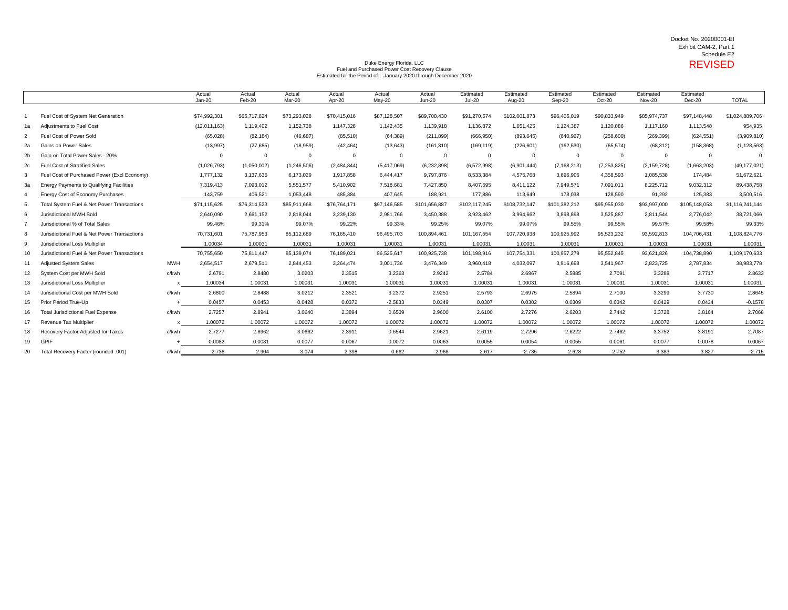## Docket No. 20200001-EI Exhibit CAM-2, Part 1 Schedule E2

## Pulke Energy Florida, LLC<br>
Fuel and Purchased Power Cost Recovery Clause<br>
Puel and Purchased Power Cost Recovery Clause Estimated for the Period of : January 2020 through December 2020

|                |                                                 |            | Actual<br>Jan-20 | Actual<br>Feb-20 | Actual<br>Mar-20 | Actual<br>Apr-20 | Actual<br>$May-20$ | Actual<br>$Jun-20$ | Estimated<br><b>Jul-20</b> | Estimated<br>Aug-20 | Estimated<br>Sep-20 | Estimated<br>Oct-20 | Estimated<br><b>Nov-20</b> | Estimated<br>Dec-20 | <b>TOTAL</b>    |
|----------------|-------------------------------------------------|------------|------------------|------------------|------------------|------------------|--------------------|--------------------|----------------------------|---------------------|---------------------|---------------------|----------------------------|---------------------|-----------------|
|                | Fuel Cost of System Net Generation              |            | \$74,992,301     | \$65,717,824     | \$73,293,028     | \$70,415,016     | \$87,128,507       | \$89,708,430       | \$91,270,574               | \$102,001,873       | \$96,405,019        | \$90,833,949        | \$85,974,737               | \$97,148,448        | \$1,024,889,706 |
| 1a             | <b>Adjustments to Fuel Cost</b>                 |            | (12,011,163)     | 1,119,402        | 1,152,738        | 1,147,328        | 1,142,435          | 1,139,918          | 1,136,872                  | 1,651,425           | 1,124,387           | 1,120,886           | 1,117,160                  | 1,113,548           | 954,935         |
|                | Fuel Cost of Power Sold                         |            | (65,028)         | (82, 184)        | (46, 687)        | (85, 510)        | (64, 389)          | (211, 899)         | (666, 950)                 | (893, 645)          | (640, 967)          | (258, 600)          | (269, 399)                 | (624, 551)          | (3,909,810)     |
| 2a             | <b>Gains on Power Sales</b>                     |            | (13,997)         | (27, 685)        | (18, 959)        | (42, 464)        | (13, 643)          | (161, 310)         | (169, 119)                 | (226, 601)          | (162, 530)          | (65, 574)           | (68, 312)                  | (158, 368)          | (1, 128, 563)   |
| 2 <sub>b</sub> | Gain on Total Power Sales - 20%                 |            | $\mathbf 0$      | $\mathbf 0$      | $\Omega$         | $\Omega$         | $\mathbf 0$        | $\mathbf 0$        | $\Omega$                   | $\overline{0}$      | $\mathbf 0$         | $\mathbf 0$         | $\Omega$                   | $\overline{0}$      |                 |
| 2c             | <b>Fuel Cost of Stratified Sales</b>            |            | (1,026,793)      | (1,050,002)      | (1,246,506)      | (2,484,344)      | (5,417,069)        | (6, 232, 898)      | (6,572,998)                | (6,901,444)         | (7, 168, 213)       | (7, 253, 825)       | (2, 159, 728)              | (1,663,203)         | (49, 177, 021)  |
| 3              | Fuel Cost of Purchased Power (Excl Economy)     |            | 1,777,132        | 3,137,635        | 6,173,029        | 1,917,858        | 6,444,417          | 9,797,876          | 8,533,384                  | 4,575,768           | 3,696,906           | 4,358,593           | 1,085,538                  | 174,484             | 51,672,621      |
| 3a             | <b>Energy Payments to Qualifying Facilities</b> |            | 7,319,413        | 7,093,012        | 5,551,577        | 5,410,902        | 7,518,681          | 7,427,850          | 8,407,595                  | 8,411,122           | 7,949,571           | 7,091,011           | 8,225,712                  | 9,032,312           | 89,438,758      |
| 4              | Energy Cost of Economy Purchases                |            | 143,759          | 406,521          | 1,053,448        | 485,384          | 407,645            | 188,921            | 177,886                    | 113,649             | 178,038             | 128,590             | 91,292                     | 125,383             | 3,500,516       |
| 5              | Total System Fuel & Net Power Transactions      |            | \$71,115,625     | \$76,314,523     | \$85,911,668     | \$76,764,171     | \$97,146,585       | \$101,656,887      | \$102,117,245              | \$108,732,147       | \$101,382,212       | \$95,955,030        | \$93,997,000               | \$105,148,053       | \$1,116,241,144 |
| 6              | Jurisdictional MWH Sold                         |            | 2,640,090        | 2,661,152        | 2,818,044        | 3,239,130        | 2,981,766          | 3,450,388          | 3,923,462                  | 3,994,662           | 3,898,898           | 3,525,887           | 2,811,544                  | 2,776,042           | 38,721,066      |
|                | Jurisdictional % of Total Sales                 |            | 99.46%           | 99.31%           | 99.07%           | 99.22%           | 99.33%             | 99.25%             | 99.07%                     | 99.07%              | 99.55%              | 99.55%              | 99.57%                     | 99.58%              | 99.33%          |
| 8              | Jurisdicitonal Fuel & Net Power Transactions    |            | 70,731,601       | 75,787,953       | 85,112,689       | 76,165,410       | 96,495,703         | 100,894,461        | 101,167,554                | 107,720,938         | 100,925,992         | 95,523,232          | 93,592,813                 | 104,706,431         | 1,108,824,776   |
| g              | Jurisdictional Loss Multiplier                  |            | 1.00034          | 1.00031          | 1.00031          | 1.00031          | 1.00031            | 1.00031            | 1.00031                    | 1.00031             | 1.00031             | 1.00031             | 1.00031                    | 1.00031             | 1.00031         |
| 10             | Jurisdictional Fuel & Net Power Transactions    |            | 70,755,650       | 75,811,447       | 85,139,074       | 76,189,021       | 96,525,617         | 100,925,738        | 101,198,916                | 107,754,331         | 100,957,279         | 95,552,845          | 93,621,826                 | 104,738,890         | 1,109,170,633   |
| 11             | <b>Adjusted System Sales</b>                    | <b>MWH</b> | 2,654,517        | 2,679,511        | 2,844,453        | 3,264,474        | 3,001,736          | 3,476,349          | 3,960,418                  | 4,032,097           | 3,916,698           | 3,541,967           | 2,823,725                  | 2,787,834           | 38,983,778      |
| 12             | System Cost per MWH Sold                        | c/kwh      | 2.6791           | 2.8480           | 3.0203           | 2.3515           | 3.2363             | 2.9242             | 2.5784                     | 2.6967              | 2.5885              | 2.7091              | 3.3288                     | 3.7717              | 2.8633          |
| 13             | Jurisdictional Loss Multiplier                  |            | 1.00034          | 1.00031          | 1.00031          | 1.00031          | 1.00031            | 1.00031            | 1.00031                    | 1.00031             | 1.00031             | 1.00031             | 1.00031                    | 1.00031             | 1.00031         |
| 14             | Jurisdictional Cost per MWH Sold                | c/kwh      | 2.6800           | 2.8488           | 3.0212           | 2.3521           | 3.2372             | 2.9251             | 2.5793                     | 2.6975              | 2.5894              | 2.7100              | 3.3299                     | 3.7730              | 2.8645          |
| 15             | Prior Period True-Up                            |            | 0.0457           | 0.0453           | 0.0428           | 0.0372           | $-2.5833$          | 0.0349             | 0.0307                     | 0.0302              | 0.0309              | 0.0342              | 0.0429                     | 0.0434              | $-0.1578$       |
|                | <b>Total Jurisdictional Fuel Expense</b>        | c/kwh      | 2.7257           | 2.8941           | 3.0640           | 2.3894           | 0.6539             | 2.9600             | 2.6100                     | 2.7276              | 2.6203              | 2.7442              | 3.3728                     | 3.8164              | 2.7068          |
| 17             | Revenue Tax Multiplier                          |            | 1.00072          | 1.00072          | 1.00072          | 1.00072          | 1.00072            | 1.00072            | 1.00072                    | 1.00072             | 1.00072             | 1.00072             | 1.00072                    | 1.00072             | 1.00072         |
| 18             | Recovery Factor Adjusted for Taxes              | c/kwh      | 2.7277           | 2.8962           | 3.0662           | 2.3911           | 0.6544             | 2.9621             | 2.6119                     | 2.7296              | 2.6222              | 2.7462              | 3.3752                     | 3.8191              | 2.7087          |
| 19             | <b>GPIF</b>                                     |            | 0.0082           | 0.0081           | 0.0077           | 0.0067           | 0.0072             | 0.0063             | 0.0055                     | 0.0054              | 0.0055              | 0.0061              | 0.0077                     | 0.0078              | 0.0067          |
| 20             | Total Recovery Factor (rounded .001)            | c/kwhl     | 2.736            | 2.904            | 3.074            | 2.398            | 0.662              | 2.968              | 2.617                      | 2.735               | 2.628               | 2.752               | 3.383                      | 3.827               | 2.715           |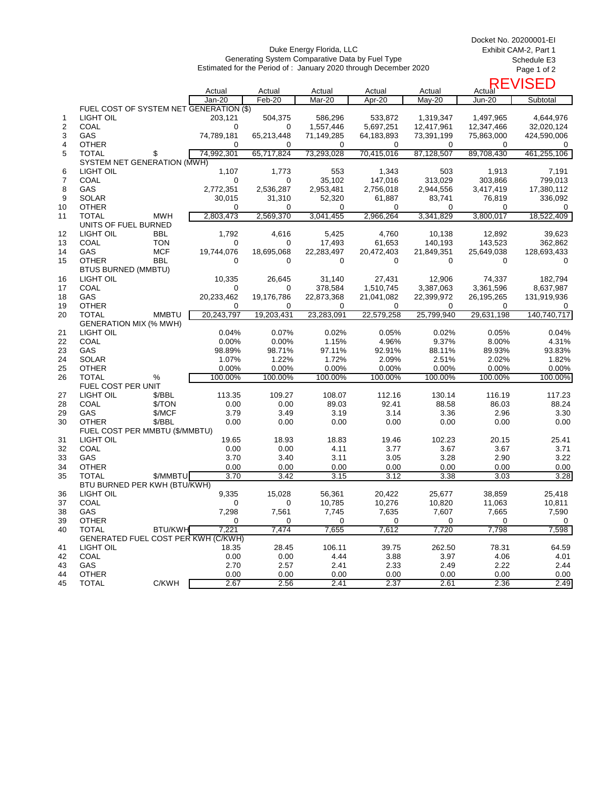Duke Energy Florida, LLC Generating System Comparative Data by Fuel Type Estimated for the Period of : January 2020 through December 2020 Docket No. 20200001-EI Exhibit CAM-2, Part 1 Schedule E3 Page 1 of 2

|    |                                         |                |                  |                  |                  |                  |                    | Actual <sup>REVISED</sup> |              |
|----|-----------------------------------------|----------------|------------------|------------------|------------------|------------------|--------------------|---------------------------|--------------|
|    |                                         |                | Actual<br>Jan-20 | Actual<br>Feb-20 | Actual<br>Mar-20 | Actual<br>Apr-20 | Actual<br>$May-20$ | Jun-20                    | Subtotal     |
|    | FUEL COST OF SYSTEM NET GENERATION (\$) |                |                  |                  |                  |                  |                    |                           |              |
| 1  | LIGHT OIL                               |                | 203,121          | 504,375          | 586,296          | 533,872          | 1,319,347          | 1,497,965                 | 4,644,976    |
| 2  | COAL                                    |                | 0                | 0                | 1,557,446        | 5,697,251        | 12,417,961         | 12,347,466                | 32,020,124   |
| 3  | GAS                                     |                | 74,789,181       | 65,213,448       | 71,149,285       | 64,183,893       | 73,391,199         | 75,863,000                | 424,590,006  |
| 4  | <b>OTHER</b>                            |                | $\Omega$         | 0                | 0                | 0                | 0                  | 0                         | 0            |
| 5  | <b>TOTAL</b>                            | \$             | 74,992,301       | 65,717,824       | 73,293,028       | 70,415,016       | 87,128,507         | 89,708,430                | 461,255,106  |
|    | SYSTEM NET GENERATION (MWH)             |                |                  |                  |                  |                  |                    |                           |              |
| 6  | LIGHT OIL                               |                | 1,107            | 1,773            | 553              | 1,343            | 503                | 1,913                     | 7,191        |
| 7  | COAL                                    |                | 0                | 0                | 35,102           | 147,016          | 313,029            | 303,866                   | 799,013      |
| 8  | GAS                                     |                | 2,772,351        | 2,536,287        |                  | 2,756,018        | 2,944,556          | 3,417,419                 | 17,380,112   |
|    | <b>SOLAR</b>                            |                |                  |                  | 2,953,481        |                  |                    |                           |              |
| 9  |                                         |                | 30,015           | 31,310           | 52,320           | 61,887           | 83,741             | 76,819                    | 336,092      |
| 10 | <b>OTHER</b>                            |                | $\Omega$         | 0                | 0                | 0                | 0                  | 0                         | 0            |
| 11 | <b>TOTAL</b>                            | MWH            | 2,803,473        | 2,569,370        | 3,041,455        | 2,966,264        | 3,341,829          | 3,800,017                 | 18,522,409   |
|    | UNITS OF FUEL BURNED                    |                |                  |                  |                  |                  |                    |                           |              |
| 12 | LIGHT OIL                               | BBL            | 1,792            | 4,616            | 5,425            | 4,760            | 10,138             | 12,892                    | 39,623       |
| 13 | <b>COAL</b>                             | <b>TON</b>     | 0                | 0                | 17,493           | 61,653           | 140,193            | 143,523                   | 362,862      |
| 14 | GAS                                     | <b>MCF</b>     | 19,744,076       | 18,695,068       | 22,283,497       | 20,472,403       | 21,849,351         | 25,649,038                | 128,693,433  |
| 15 | <b>OTHER</b>                            | <b>BBL</b>     | $\Omega$         | 0                | 0                | $\Omega$         | 0                  | 0                         | $\mathbf 0$  |
|    | <b>BTUS BURNED (MMBTU)</b>              |                |                  |                  |                  |                  |                    |                           |              |
| 16 | LIGHT OIL                               |                | 10,335           | 26,645           | 31,140           | 27,431           | 12,906             | 74,337                    | 182,794      |
| 17 | <b>COAL</b>                             |                | 0                | 0                | 378,584          | 1,510,745        | 3,387,063          | 3,361,596                 | 8,637,987    |
| 18 | GAS                                     |                | 20,233,462       | 19,176,786       | 22,873,368       | 21,041,082       | 22,399,972         | 26,195,265                | 131,919,936  |
| 19 | <b>OTHER</b>                            |                | 0                | 0                | 0                | 0                | 0                  | 0                         | 0            |
| 20 | <b>TOTAL</b>                            | <b>MMBTU</b>   | 20,243,797       | 19,203,431       | 23,283,091       | 22,579,258       | 25,799,940         | 29,631,198                | 140.740.717  |
|    | <b>GENERATION MIX (% MWH)</b>           |                |                  |                  |                  |                  |                    |                           |              |
| 21 | LIGHT OIL                               |                | 0.04%            | 0.07%            | 0.02%            | 0.05%            | 0.02%              | 0.05%                     | 0.04%        |
| 22 | <b>COAL</b>                             |                | 0.00%            | 0.00%            | 1.15%            | 4.96%            | 9.37%              | 8.00%                     | 4.31%        |
| 23 | GAS                                     |                | 98.89%           | 98.71%           | 97.11%           | 92.91%           | 88.11%             | 89.93%                    | 93.83%       |
| 24 | <b>SOLAR</b>                            |                | 1.07%            | 1.22%            | 1.72%            | 2.09%            | 2.51%              | 2.02%                     | 1.82%        |
| 25 | <b>OTHER</b>                            |                | 0.00%            | 0.00%            | 0.00%            | 0.00%            | 0.00%              | 0.00%                     | 0.00%        |
| 26 | <b>TOTAL</b>                            | %              | 100.00%          | 100.00%          | 100.00%          | 100.00%          | 100.00%            | 100.00%                   | 100.00%      |
|    | FUEL COST PER UNIT                      |                |                  |                  |                  |                  |                    |                           |              |
| 27 | LIGHT OIL                               | \$/BBL         | 113.35           | 109.27           | 108.07           | 112.16           | 130.14             | 116.19                    | 117.23       |
| 28 | <b>COAL</b>                             | \$/TON         | 0.00             | 0.00             | 89.03            | 92.41            | 88.58              | 86.03                     | 88.24        |
| 29 | GAS                                     | \$/MCF         | 3.79             | 3.49             | 3.19             | 3.14             | 3.36               | 2.96                      | 3.30         |
| 30 | <b>OTHER</b>                            | \$/BBL         | 0.00             | 0.00             | 0.00             | 0.00             | 0.00               | 0.00                      | 0.00         |
|    | FUEL COST PER MMBTU (\$/MMBTU)          |                |                  |                  |                  |                  |                    |                           |              |
| 31 | LIGHT OIL                               |                | 19.65            | 18.93            | 18.83            | 19.46            | 102.23             | 20.15                     | 25.41        |
| 32 | <b>COAL</b>                             |                | 0.00             | 0.00             | 4.11             | 3.77             | 3.67               | 3.67                      | 3.71         |
| 33 | GAS                                     |                | 3.70             | 3.40             | 3.11             | 3.05             | 3.28               | 2.90                      | 3.22         |
| 34 | <b>OTHER</b>                            |                | 0.00             | 0.00             | 0.00             | 0.00             | 0.00               | 0.00                      | 0.00         |
| 35 | <b>TOTAL</b>                            | \$/MMBTU       | 3.70             | 3.42             | 3.15             | 3.12             | 3.38               | 3.03                      | 3.28         |
|    | BTU BURNED PER KWH (BTU/KWH)            |                |                  |                  |                  |                  |                    |                           |              |
| 36 | LIGHT OIL                               |                | 9,335            | 15,028           | 56,361           | 20.422           | 25,677             | 38,859                    | 25,418       |
| 37 | COAL                                    |                | 0                |                  | 10,785           | 10,276           | 10,820             | 11,063                    | 10,811       |
| 38 | GAS                                     |                | 7,298            | 7,561            | 7,745            | 7,635            | 7,607              | 7,665                     | 7,590        |
| 39 | <b>OTHER</b>                            |                | 0                | 0                | 0                | 0                | 0                  | 0                         | $\mathbf{0}$ |
| 40 | <b>TOTAL</b>                            | <b>BTU/KWH</b> | 7,221            | 7,474            | 7,655            | 7,612            | 7,720              | 7,798                     | 7,598        |
|    | GENERATED FUEL COST PER KWH (C/KWH)     |                |                  |                  |                  |                  |                    |                           |              |
| 41 | LIGHT OIL                               |                | 18.35            | 28.45            | 106.11           | 39.75            | 262.50             | 78.31                     | 64.59        |
| 42 | COAL                                    |                | 0.00             | 0.00             | 4.44             | 3.88             | 3.97               | 4.06                      | 4.01         |
| 43 | GAS                                     |                | 2.70             | 2.57             | 2.41             | 2.33             | 2.49               | 2.22                      | 2.44         |
| 44 | <b>OTHER</b>                            |                | 0.00             | 0.00             | 0.00             | 0.00             | 0.00               | 0.00                      | 0.00         |
| 45 | <b>TOTAL</b>                            | C/KWH          | 2.67             | 2.56             | 2.41             | 2.37             | 2.61               | 2.36                      | 2.49         |